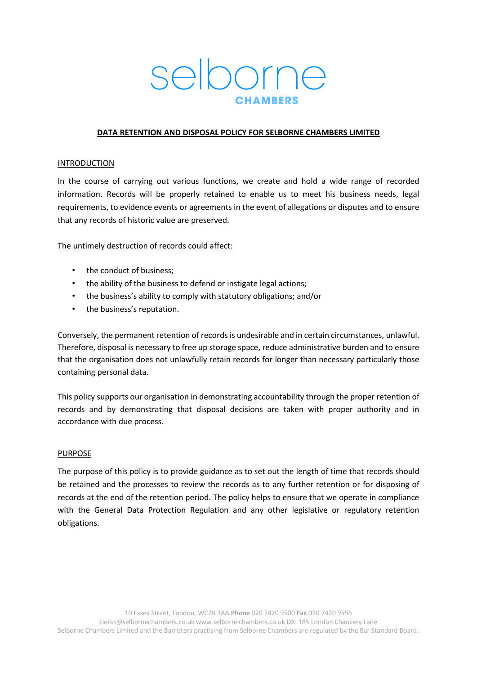# selborne

## **DATA RETENTION AND DISPOSAL POLICY FOR SELBORNE CHAMBERS LIMITED**

## INTRODUCTION

In the course of carrying out various functions, we create and hold a wide range of recorded information. Records will be properly retained to enable us to meet his business needs, legal requirements, to evidence events or agreements in the event of allegations or disputes and to ensure that any records of historic value are preserved.

The untimely destruction of records could affect:

- the conduct of business;
- the ability of the business to defend or instigate legal actions;
- the business's ability to comply with statutory obligations; and/or
- the business's reputation.

Conversely, the permanent retention of records is undesirable and in certain circumstances, unlawful. Therefore, disposal is necessary to free up storage space, reduce administrative burden and to ensure that the organisation does not unlawfully retain records for longer than necessary particularly those containing personal data.

This policy supports our organisation in demonstrating accountability through the proper retention of records and by demonstrating that disposal decisions are taken with proper authority and in accordance with due process.

## PURPOSE

The purpose of this policy is to provide guidance as to set out the length of time that records should be retained and the processes to review the records as to any further retention or for disposing of records at the end of the retention period. The policy helps to ensure that we operate in compliance with the General Data Protection Regulation and any other legislative or regulatory retention obligations.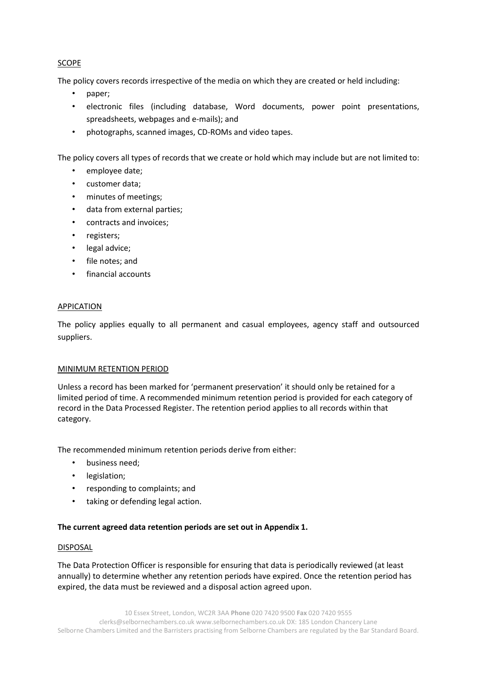# SCOPE

The policy covers records irrespective of the media on which they are created or held including:

- paper;
- electronic files (including database, Word documents, power point presentations, spreadsheets, webpages and e-mails); and
- photographs, scanned images, CD-ROMs and video tapes.

The policy covers all types of records that we create or hold which may include but are not limited to:

- employee date;
- customer data;
- minutes of meetings;
- data from external parties;
- contracts and invoices;
- registers;
- legal advice;
- file notes; and
- financial accounts

## APPICATION

The policy applies equally to all permanent and casual employees, agency staff and outsourced suppliers.

## MINIMUM RETENTION PERIOD

Unless a record has been marked for 'permanent preservation' it should only be retained for a limited period of time. A recommended minimum retention period is provided for each category of record in the Data Processed Register. The retention period applies to all records within that category.

The recommended minimum retention periods derive from either:

- business need;
- legislation;
- responding to complaints; and
- taking or defending legal action.

# **The current agreed data retention periods are set out in Appendix 1.**

## DISPOSAL

The Data Protection Officer is responsible for ensuring that data is periodically reviewed (at least annually) to determine whether any retention periods have expired. Once the retention period has expired, the data must be reviewed and a disposal action agreed upon.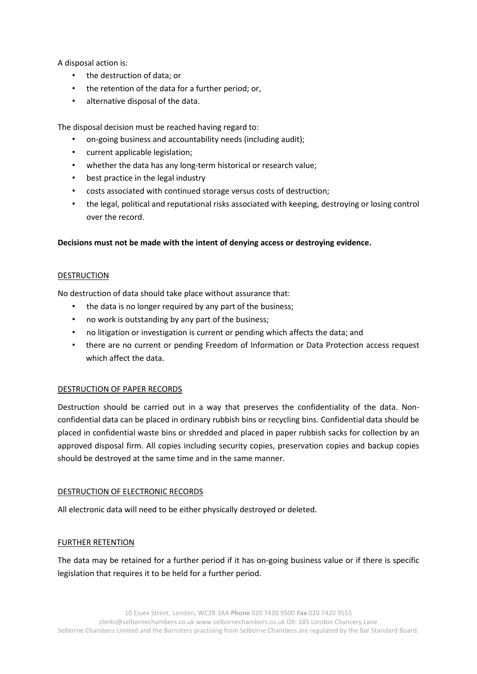A disposal action is:

- the destruction of data; or
- the retention of the data for a further period; or,
- alternative disposal of the data.

The disposal decision must be reached having regard to:

- on-going business and accountability needs (including audit);
- current applicable legislation;
- whether the data has any long-term historical or research value;
- best practice in the legal industry
- costs associated with continued storage versus costs of destruction;
- the legal, political and reputational risks associated with keeping, destroying or losing control over the record.

## **Decisions must not be made with the intent of denying access or destroying evidence.**

## DESTRUCTION

No destruction of data should take place without assurance that:

- the data is no longer required by any part of the business;
- no work is outstanding by any part of the business;
- no litigation or investigation is current or pending which affects the data; and
- there are no current or pending Freedom of Information or Data Protection access request which affect the data.

## DESTRUCTION OF PAPER RECORDS

Destruction should be carried out in a way that preserves the confidentiality of the data. Nonconfidential data can be placed in ordinary rubbish bins or recycling bins. Confidential data should be placed in confidential waste bins or shredded and placed in paper rubbish sacks for collection by an approved disposal firm. All copies including security copies, preservation copies and backup copies should be destroyed at the same time and in the same manner.

## DESTRUCTION OF ELECTRONIC RECORDS

All electronic data will need to be either physically destroyed or deleted.

## FURTHER RETENTION

The data may be retained for a further period if it has on-going business value or if there is specific legislation that requires it to be held for a further period.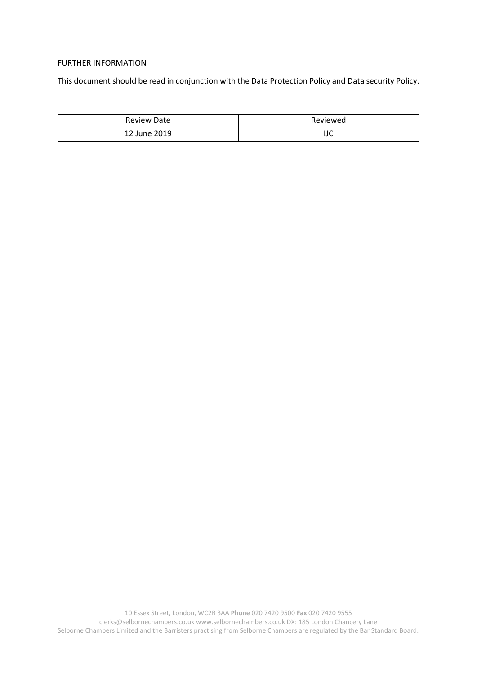## FURTHER INFORMATION

This document should be read in conjunction with the Data Protection Policy and Data security Policy.

| <b>Review Date</b>    | Reviewed |  |
|-----------------------|----------|--|
| June 2019<br>າ າ<br>ᅭ | IJC      |  |